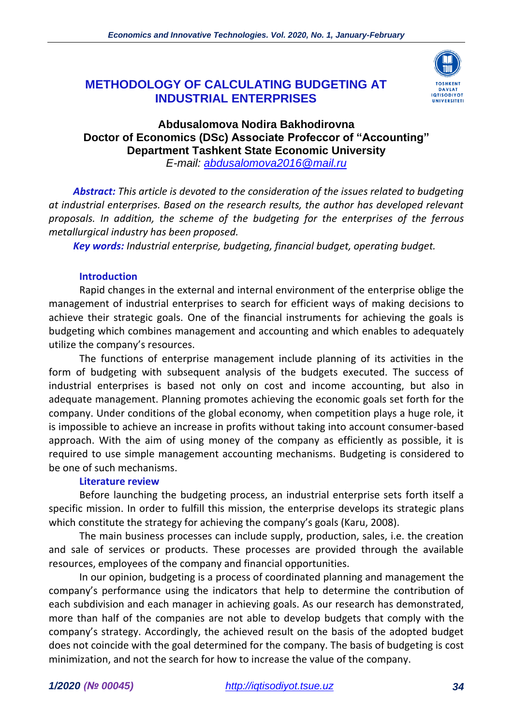# **METHODOLOGY OF CALCULATING BUDGETING AT INDUSTRIAL ENTERPRISES**



# **Abdusalomova Nodira Bakhodirovna Doctor of Economics (DSc) Associate Profeccor of "Accounting" Department Tashkent State Economic University** *E-mail: [abdusalomova2016@mail.ru](mailto:abdusalomova2016@mail.ru)*

*Abstract: This article is devoted to the consideration of the issues related to budgeting at industrial enterprises. Based on the research results, the author has developed relevant proposals. In addition, the scheme of the budgeting for the enterprises of the ferrous metallurgical industry has been proposed.* 

*Key words: Industrial enterprise, budgeting, financial budget, operating budget.*

### **Introduction**

Rapid changes in the external and internal environment of the enterprise oblige the management of industrial enterprises to search for efficient ways of making decisions to achieve their strategic goals. One of the financial instruments for achieving the goals is budgeting which combines management and accounting and which enables to adequately utilize the company's resources.

The functions of enterprise management include planning of its activities in the form of budgeting with subsequent analysis of the budgets executed. The success of industrial enterprises is based not only on cost and income accounting, but also in adequate management. Planning promotes achieving the economic goals set forth for the company. Under conditions of the global economy, when competition plays a huge role, it is impossible to achieve an increase in profits without taking into account consumer-based approach. With the aim of using money of the company as efficiently as possible, it is required to use simple management accounting mechanisms. Budgeting is considered to be one of such mechanisms.

## **Literature review**

Before launching the budgeting process, an industrial enterprise sets forth itself a specific mission. In order to fulfill this mission, the enterprise develops its strategic plans which constitute the strategy for achieving the company's goals (Karu, 2008).

The main business processes can include supply, production, sales, i.e. the creation and sale of services or products. These processes are provided through the available resources, employees of the company and financial opportunities.

In our opinion, budgeting is a process of coordinated planning and management the company's performance using the indicators that help to determine the contribution of each subdivision and each manager in achieving goals. As our research has demonstrated, more than half of the companies are not able to develop budgets that comply with the company's strategy. Accordingly, the achieved result on the basis of the adopted budget does not coincide with the goal determined for the company. The basis of budgeting is cost minimization, and not the search for how to increase the value of the company.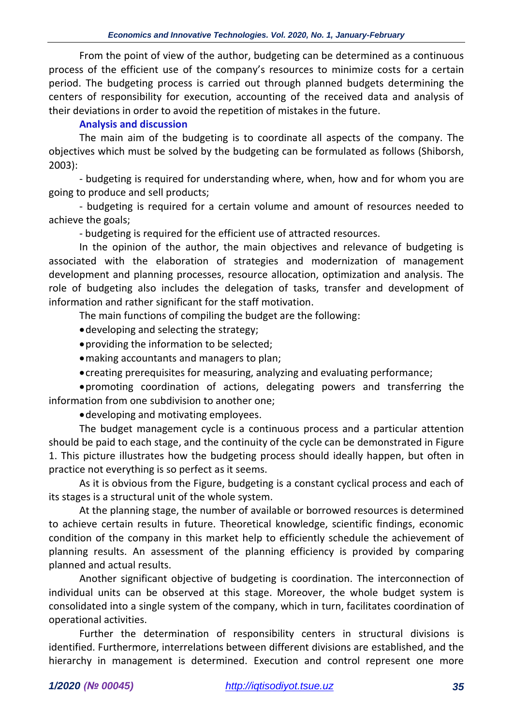From the point of view of the author, budgeting can be determined as a continuous process of the efficient use of the company's resources to minimize costs for a certain period. The budgeting process is carried out through planned budgets determining the centers of responsibility for execution, accounting of the received data and analysis of their deviations in order to avoid the repetition of mistakes in the future.

# **Analysis and discussion**

The main aim of the budgeting is to coordinate all aspects of the company. The objectives which must be solved by the budgeting can be formulated as follows (Shiborsh, 2003):

- budgeting is required for understanding where, when, how and for whom you are going to produce and sell products;

- budgeting is required for a certain volume and amount of resources needed to achieve the goals;

- budgeting is required for the efficient use of attracted resources.

In the opinion of the author, the main objectives and relevance of budgeting is associated with the elaboration of strategies and modernization of management development and planning processes, resource allocation, optimization and analysis. The role of budgeting also includes the delegation of tasks, transfer and development of information and rather significant for the staff motivation.

The main functions of compiling the budget are the following:

•developing and selecting the strategy;

- •providing the information to be selected;
- •making accountants and managers to plan;
- •creating prerequisites for measuring, analyzing and evaluating performance;

•promoting coordination of actions, delegating powers and transferring the information from one subdivision to another one;

•developing and motivating employees.

The budget management cycle is a continuous process and a particular attention should be paid to each stage, and the continuity of the cycle can be demonstrated in Figure 1. This picture illustrates how the budgeting process should ideally happen, but often in practice not everything is so perfect as it seems.

As it is obvious from the Figure, budgeting is a constant cyclical process and each of its stages is a structural unit of the whole system.

At the planning stage, the number of available or borrowed resources is determined to achieve certain results in future. Theoretical knowledge, scientific findings, economic condition of the company in this market help to efficiently schedule the achievement of planning results. An assessment of the planning efficiency is provided by comparing planned and actual results.

Another significant objective of budgeting is coordination. The interconnection of individual units can be observed at this stage. Moreover, the whole budget system is consolidated into a single system of the company, which in turn, facilitates coordination of operational activities.

Further the determination of responsibility centers in structural divisions is identified. Furthermore, interrelations between different divisions are established, and the hierarchy in management is determined. Execution and control represent one more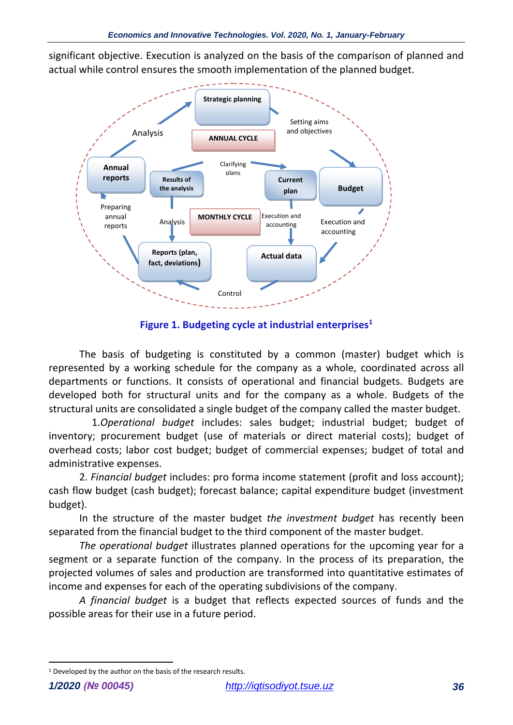significant objective. Execution is analyzed on the basis of the comparison of planned and actual while control ensures the smooth implementation of the planned budget.



**Figure 1. Budgeting cycle at industrial enterprises<sup>1</sup>**

The basis of budgeting is constituted by a common (master) budget which is represented by a working schedule for the company as a whole, coordinated across all departments or functions. It consists of operational and financial budgets. Budgets are developed both for structural units and for the company as a whole. Budgets of the structural units are consolidated a single budget of the company called the master budget.

 1.*Operational budget* includes: sales budget; industrial budget; budget of inventory; procurement budget (use of materials or direct material costs); budget of overhead costs; labor cost budget; budget of commercial expenses; budget of total and administrative expenses.

2. *Financial budget* includes: pro forma income statement (profit and loss account); cash flow budget (cash budget); forecast balance; capital expenditure budget (investment budget).

In the structure of the master budget *the investment budget* has recently been separated from the financial budget to the third component of the master budget.

*The operational budget* illustrates planned operations for the upcoming year for a segment or a separate function of the company. In the process of its preparation, the projected volumes of sales and production are transformed into quantitative estimates of income and expenses for each of the operating subdivisions of the company.

*A financial budget* is a budget that reflects expected sources of funds and the possible areas for their use in a future period.

<sup>&</sup>lt;sup>1</sup> Developed by the author on the basis of the research results.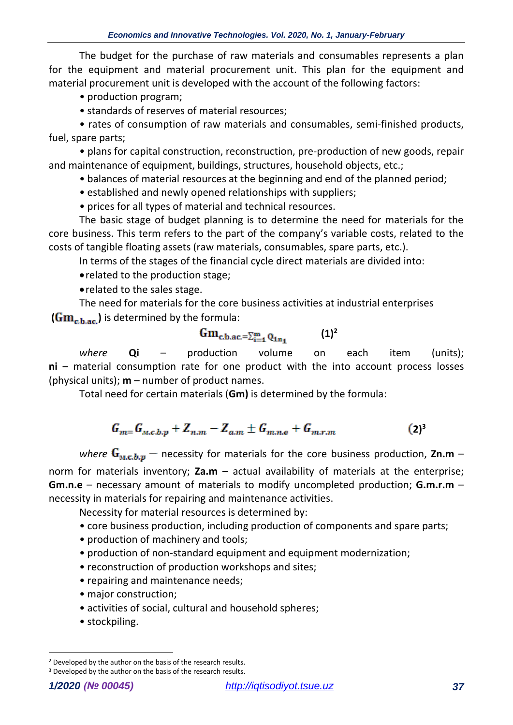The budget for the purchase of raw materials and consumables represents a plan for the equipment and material procurement unit. This plan for the equipment and material procurement unit is developed with the account of the following factors:

- production program;
- standards of reserves of material resources;

• rates of consumption of raw materials and consumables, semi-finished products, fuel, spare parts;

• plans for capital construction, reconstruction, pre-production of new goods, repair and maintenance of equipment, buildings, structures, household objects, etc.;

• balances of material resources at the beginning and end of the planned period;

• established and newly opened relationships with suppliers;

• prices for all types of material and technical resources.

The basic stage of budget planning is to determine the need for materials for the core business. This term refers to the part of the company's variable costs, related to the costs of tangible floating assets (raw materials, consumables, spare parts, etc.).

In terms of the stages of the financial cycle direct materials are divided into:

•related to the production stage;

•related to the sales stage.

The need for materials for the core business activities at industrial enterprises  $(Gm_{ch,ac})$  is determined by the formula:

$$
Gm_{c,b,ac,=\sum_{i=1}^{m}Q_{1n_{1}}}
$$
 (1)<sup>2</sup>

where **Qi** – production volume on each item (units); **ni** – material consumption rate for one product with the into account process losses (physical units); **m** – number of product names.

Total need for certain materials (**Gm)** is determined by the formula:

$$
G_{m=}G_{M,c,b,p} + Z_{n,m} - Z_{a,m} \pm G_{m,n,e} + G_{m,r,m}
$$
 (2)<sup>3</sup>

where  $G_{M,c,b,p}$  – necessity for materials for the core business production, Zn.m – norm for materials inventory; **Za.m** – actual availability of materials at the enterprise; **Gm.n.e** – necessary amount of materials to modify uncompleted production; **G.m.r.m** – necessity in materials for repairing and maintenance activities.

Necessity for material resources is determined by:

- core business production, including production of components and spare parts;
- production of machinery and tools;
- production of non-standard equipment and equipment modernization;
- reconstruction of production workshops and sites;
- repairing and maintenance needs;
- major construction;
- activities of social, cultural and household spheres;
- stockpiling.

<sup>&</sup>lt;sup>2</sup> Developed by the author on the basis of the research results.

<sup>&</sup>lt;sup>3</sup> Developed by the author on the basis of the research results.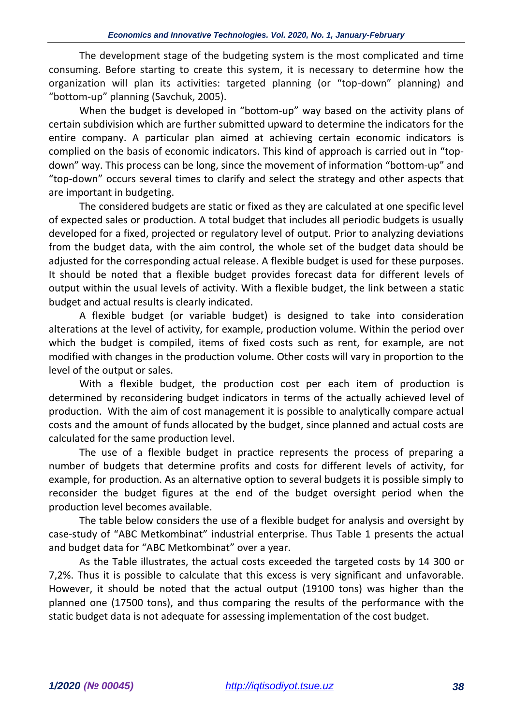The development stage of the budgeting system is the most complicated and time consuming. Before starting to create this system, it is necessary to determine how the organization will plan its activities: targeted planning (or "top-down" planning) and "bottom-up" planning (Savchuk, 2005).

When the budget is developed in "bottom-up" way based on the activity plans of certain subdivision which are further submitted upward to determine the indicators for the entire company. A particular plan aimed at achieving certain economic indicators is complied on the basis of economic indicators. This kind of approach is carried out in "topdown" way. This process can be long, since the movement of information "bottom-up" and "top-down" occurs several times to clarify and select the strategy and other aspects that are important in budgeting.

The considered budgets are static or fixed as they are calculated at one specific level of expected sales or production. A total budget that includes all periodic budgets is usually developed for a fixed, projected or regulatory level of output. Prior to analyzing deviations from the budget data, with the aim control, the whole set of the budget data should be adjusted for the corresponding actual release. A flexible budget is used for these purposes. It should be noted that a flexible budget provides forecast data for different levels of output within the usual levels of activity. With a flexible budget, the link between a static budget and actual results is clearly indicated.

A flexible budget (or variable budget) is designed to take into consideration alterations at the level of activity, for example, production volume. Within the period over which the budget is compiled, items of fixed costs such as rent, for example, are not modified with changes in the production volume. Other costs will vary in proportion to the level of the output or sales.

With a flexible budget, the production cost per each item of production is determined by reconsidering budget indicators in terms of the actually achieved level of production. With the aim of cost management it is possible to analytically compare actual costs and the amount of funds allocated by the budget, since planned and actual costs are calculated for the same production level.

The use of a flexible budget in practice represents the process of preparing a number of budgets that determine profits and costs for different levels of activity, for example, for production. As an alternative option to several budgets it is possible simply to reconsider the budget figures at the end of the budget oversight period when the production level becomes available.

The table below considers the use of a flexible budget for analysis and oversight by case-study of "ABC Metkombinat" industrial enterprise. Thus Table 1 presents the actual and budget data for "ABC Metkombinat" over a year.

As the Table illustrates, the actual costs exceeded the targeted costs by 14 300 or 7,2%. Thus it is possible to calculate that this excess is very significant and unfavorable. However, it should be noted that the actual output (19100 tons) was higher than the planned one (17500 tons), and thus comparing the results of the performance with the static budget data is not adequate for assessing implementation of the cost budget.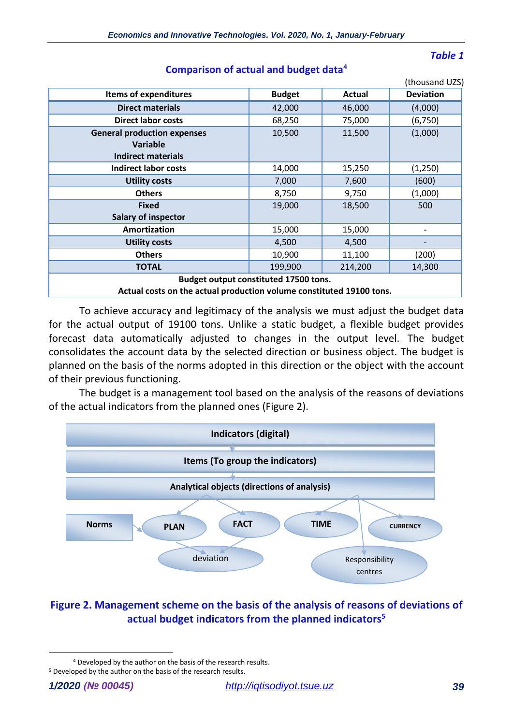### *Table 1*

|                                                                      |               |         | (thousand UZS)   |
|----------------------------------------------------------------------|---------------|---------|------------------|
| <b>Items of expenditures</b>                                         | <b>Budget</b> | Actual  | <b>Deviation</b> |
| <b>Direct materials</b>                                              | 42,000        | 46,000  | (4,000)          |
| <b>Direct labor costs</b>                                            | 68,250        | 75,000  | (6, 750)         |
| <b>General production expenses</b>                                   | 10,500        | 11,500  | (1,000)          |
| <b>Variable</b>                                                      |               |         |                  |
| <b>Indirect materials</b>                                            |               |         |                  |
| <b>Indirect labor costs</b>                                          | 14,000        | 15,250  | (1,250)          |
| <b>Utility costs</b>                                                 | 7,000         | 7,600   | (600)            |
| <b>Others</b>                                                        | 8,750         | 9,750   | (1,000)          |
| <b>Fixed</b>                                                         | 19,000        | 18,500  | 500              |
| <b>Salary of inspector</b>                                           |               |         |                  |
| Amortization                                                         | 15,000        | 15,000  |                  |
| <b>Utility costs</b>                                                 | 4,500         | 4,500   |                  |
| <b>Others</b>                                                        | 10,900        | 11,100  | (200)            |
| <b>TOTAL</b>                                                         | 199,900       | 214,200 | 14,300           |
| Budget output constituted 17500 tons.                                |               |         |                  |
| Actual costs on the actual production volume constituted 19100 tons. |               |         |                  |

**Comparison of actual and budget data<sup>4</sup>**

To achieve accuracy and legitimacy of the analysis we must adjust the budget data for the actual output of 19100 tons. Unlike a static budget, a flexible budget provides forecast data automatically adjusted to changes in the output level. The budget consolidates the account data by the selected direction or business object. The budget is planned on the basis of the norms adopted in this direction or the object with the account of their previous functioning.

The budget is a management tool based on the analysis of the reasons of deviations of the actual indicators from the planned ones (Figure 2).



# **Figure 2. Management scheme on the basis of the analysis of reasons of deviations of actual budget indicators from the planned indicators<sup>5</sup>**

<sup>4</sup> Developed by the author on the basis of the research results.

<sup>5</sup> Developed by the author on the basis of the research results.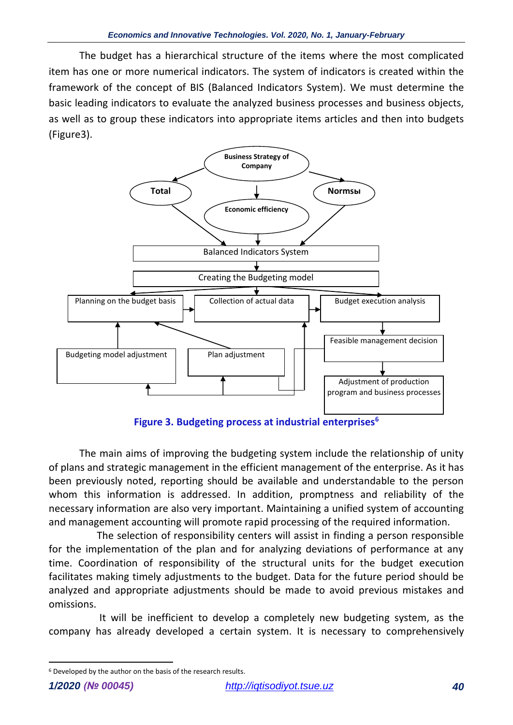The budget has a hierarchical structure of the items where the most complicated item has one or more numerical indicators. The system of indicators is created within the framework of the concept of BIS (Balanced Indicators System). We must determine the basic leading indicators to evaluate the analyzed business processes and business objects, as well as to group these indicators into appropriate items articles and then into budgets (Figure3).



**Figure 3. Budgeting process at industrial enterprises<sup>6</sup>**

The main aims of improving the budgeting system include the relationship of unity of plans and strategic management in the efficient management of the enterprise. As it has been previously noted, reporting should be available and understandable to the person whom this information is addressed. In addition, promptness and reliability of the necessary information are also very important. Maintaining a unified system of accounting and management accounting will promote rapid processing of the required information.

 The selection of responsibility centers will assist in finding a person responsible for the implementation of the plan and for analyzing deviations of performance at any time. Coordination of responsibility of the structural units for the budget execution facilitates making timely adjustments to the budget. Data for the future period should be analyzed and appropriate adjustments should be made to avoid previous mistakes and omissions.

 It will be inefficient to develop a completely new budgeting system, as the company has already developed a certain system. It is necessary to comprehensively

<sup>6</sup> Developed by the author on the basis of the research results.